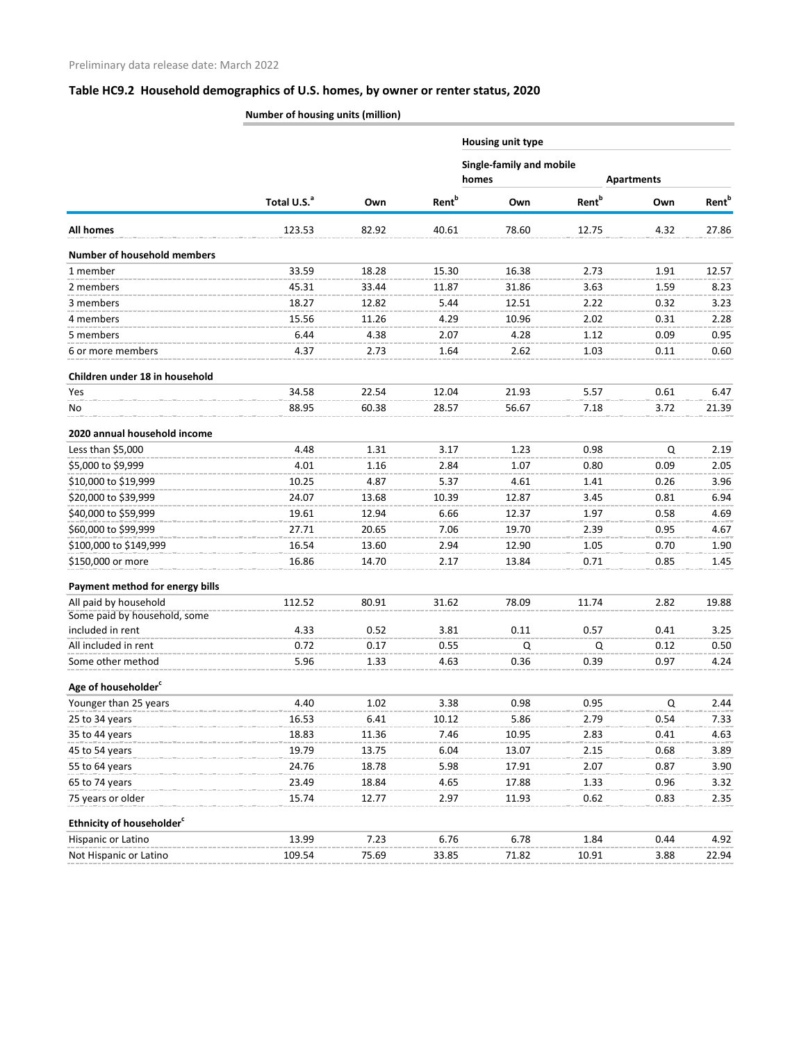## **Table HC9.2 Household demographics of U.S. homes, by owner or renter status, 2020**

**Number of housing units (million)**

|                                       |                         |       |                   | <b>Housing unit type</b><br><b>Single-family and mobile</b><br>homes<br><b>Apartments</b> |                          |      |                   |  |
|---------------------------------------|-------------------------|-------|-------------------|-------------------------------------------------------------------------------------------|--------------------------|------|-------------------|--|
|                                       | Total U.S. <sup>a</sup> |       |                   |                                                                                           |                          |      |                   |  |
|                                       |                         | Own   | Rent <sup>b</sup> | Own                                                                                       | <b>Rent</b> <sup>b</sup> | Own  | Rent <sup>b</sup> |  |
| <b>All homes</b>                      | 123.53                  | 82.92 | 40.61             | 78.60                                                                                     | 12.75                    | 4.32 | 27.86             |  |
| <b>Number of household members</b>    |                         |       |                   |                                                                                           |                          |      |                   |  |
| 1 member                              | 33.59                   | 18.28 | 15.30             | 16.38                                                                                     | 2.73                     | 1.91 | 12.57             |  |
| 2 members                             | 45.31                   | 33.44 | 11.87             | 31.86                                                                                     | 3.63                     | 1.59 | 8.23              |  |
| 3 members                             | 18.27                   | 12.82 | 5.44              | 12.51                                                                                     | 2.22                     | 0.32 | 3.23              |  |
| 4 members                             | 15.56                   | 11.26 | 4.29              | 10.96                                                                                     | 2.02                     | 0.31 | 2.28              |  |
| 5 members                             | 6.44                    | 4.38  | 2.07              | 4.28                                                                                      | 1.12                     | 0.09 | 0.95              |  |
| 6 or more members                     | 4.37                    | 2.73  | 1.64              | 2.62                                                                                      | 1.03                     | 0.11 | 0.60              |  |
| Children under 18 in household        |                         |       |                   |                                                                                           |                          |      |                   |  |
| Yes                                   | 34.58                   | 22.54 | 12.04             | 21.93                                                                                     | 5.57                     | 0.61 | 6.47              |  |
| No                                    | 88.95                   | 60.38 | 28.57             | 56.67                                                                                     | 7.18                     | 3.72 | 21.39             |  |
| 2020 annual household income          |                         |       |                   |                                                                                           |                          |      |                   |  |
| Less than \$5,000                     | 4.48                    | 1.31  | 3.17              | 1.23                                                                                      | 0.98                     | Q    | 2.19              |  |
| \$5,000 to \$9,999                    | 4.01                    | 1.16  | 2.84              | 1.07                                                                                      | 0.80                     | 0.09 | 2.05              |  |
| \$10,000 to \$19,999                  | 10.25                   | 4.87  | 5.37              | 4.61                                                                                      | 1.41                     | 0.26 | 3.96              |  |
| \$20,000 to \$39,999                  | 24.07                   | 13.68 | 10.39             | 12.87                                                                                     | 3.45                     | 0.81 | 6.94              |  |
| \$40,000 to \$59,999                  | 19.61                   | 12.94 | 6.66              | 12.37                                                                                     | 1.97                     | 0.58 | 4.69              |  |
| \$60,000 to \$99,999                  | 27.71                   | 20.65 | 7.06              | 19.70                                                                                     | 2.39                     | 0.95 | 4.67              |  |
| \$100,000 to \$149,999                | 16.54                   | 13.60 | 2.94              | 12.90                                                                                     | 1.05                     | 0.70 | 1.90              |  |
| \$150,000 or more                     | 16.86                   | 14.70 | 2.17              | 13.84                                                                                     | 0.71                     | 0.85 | 1.45              |  |
| Payment method for energy bills       |                         |       |                   |                                                                                           |                          |      |                   |  |
| All paid by household                 | 112.52                  | 80.91 | 31.62             | 78.09                                                                                     | 11.74                    | 2.82 | 19.88             |  |
| Some paid by household, some          |                         |       |                   |                                                                                           |                          |      |                   |  |
| included in rent                      | 4.33                    | 0.52  | 3.81              | 0.11                                                                                      | 0.57                     | 0.41 | 3.25              |  |
| All included in rent                  | 0.72                    | 0.17  | 0.55              | Q                                                                                         | Q                        | 0.12 | 0.50              |  |
| Some other method                     | 5.96                    | 1.33  | 4.63              | 0.36                                                                                      | 0.39                     | 0.97 | 4.24              |  |
| Age of householder <sup>c</sup>       |                         |       |                   |                                                                                           |                          |      |                   |  |
| Younger than 25 years                 | 4.40                    | 1.02  | 3.38              | 0.98                                                                                      | 0.95                     | Q    | 2.44              |  |
| 25 to 34 years                        | 16.53                   | 6.41  | 10.12             | 5.86                                                                                      | 2.79                     | 0.54 | 7.33              |  |
| 35 to 44 years                        | 18.83                   | 11.36 | 7.46              | 10.95                                                                                     | 2.83                     | 0.41 | 4.63              |  |
| 45 to 54 years                        | 19.79                   | 13.75 | 6.04              | 13.07                                                                                     | 2.15                     | 0.68 | 3.89              |  |
| 55 to 64 years                        | 24.76                   | 18.78 | 5.98              | 17.91                                                                                     | 2.07                     | 0.87 | 3.90              |  |
| 65 to 74 years                        | 23.49                   | 18.84 | 4.65              | 17.88                                                                                     | 1.33                     | 0.96 | 3.32              |  |
| 75 years or older                     | 15.74                   | 12.77 | 2.97              | 11.93                                                                                     | 0.62                     | 0.83 | 2.35              |  |
| Ethnicity of householder <sup>c</sup> |                         |       |                   |                                                                                           |                          |      |                   |  |
| Hispanic or Latino                    | 13.99                   | 7.23  | 6.76              | 6.78                                                                                      | 1.84                     | 0.44 | 4.92              |  |
| Not Hispanic or Latino                | 109.54                  | 75.69 | 33.85             | 71.82                                                                                     | 10.91                    | 3.88 | 22.94             |  |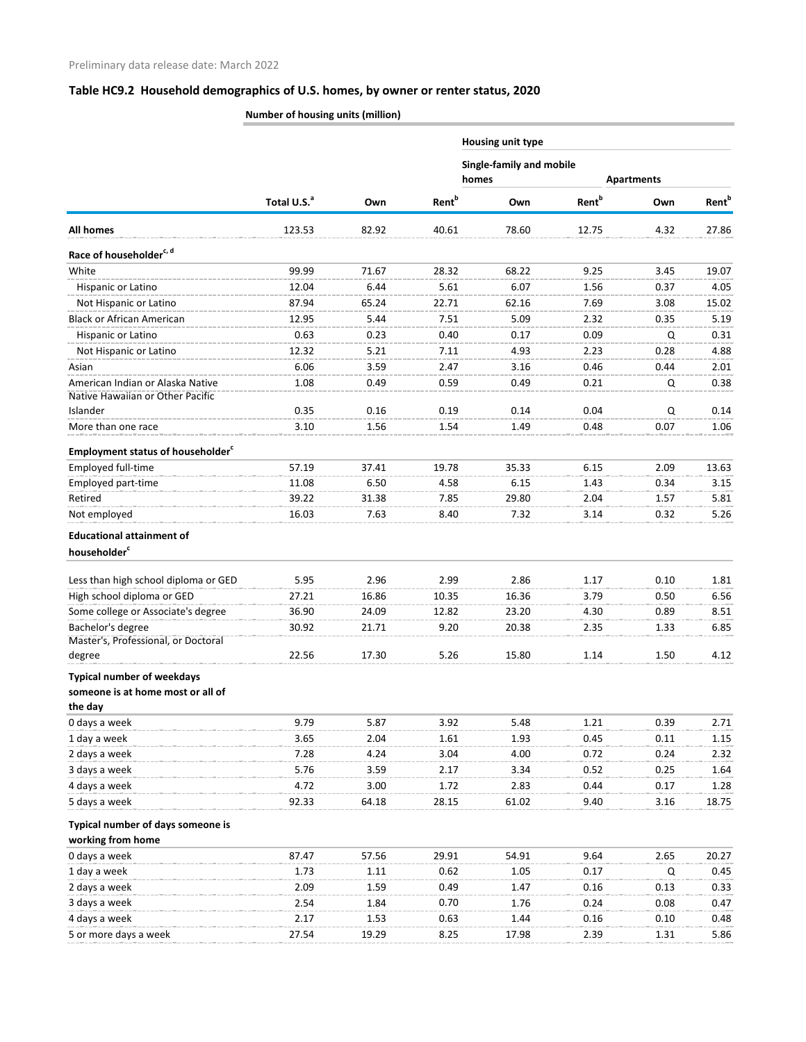# **Table HC9.2 Household demographics of U.S. homes, by owner or renter status, 2020**

**Number of housing units (million)**

|                                                      | Total U.S. <sup>a</sup> |       |                          | <b>Housing unit type</b><br>Single-family and mobile<br>homes<br><b>Apartments</b> |                          |      |                          |  |
|------------------------------------------------------|-------------------------|-------|--------------------------|------------------------------------------------------------------------------------|--------------------------|------|--------------------------|--|
|                                                      |                         |       |                          |                                                                                    |                          |      |                          |  |
|                                                      |                         | Own   | <b>Rent</b> <sup>b</sup> | Own                                                                                | <b>Rent</b> <sup>b</sup> | Own  | <b>Rent</b> <sup>b</sup> |  |
| <b>All homes</b>                                     | 123.53                  | 82.92 | 40.61                    | 78.60                                                                              | 12.75                    | 4.32 | 27.86                    |  |
| Race of householder <sup>c, d</sup>                  |                         |       |                          |                                                                                    |                          |      |                          |  |
| White                                                | 99.99                   | 71.67 | 28.32                    | 68.22                                                                              | 9.25                     | 3.45 | 19.07                    |  |
| Hispanic or Latino                                   | 12.04                   | 6.44  | 5.61                     | 6.07                                                                               | 1.56                     | 0.37 | 4.05                     |  |
| Not Hispanic or Latino                               | 87.94                   | 65.24 | 22.71                    | 62.16                                                                              | 7.69                     | 3.08 | 15.02                    |  |
| <b>Black or African American</b>                     | 12.95                   | 5.44  | 7.51                     | 5.09                                                                               | 2.32                     | 0.35 | 5.19                     |  |
| Hispanic or Latino                                   | 0.63                    | 0.23  | 0.40                     | 0.17                                                                               | 0.09                     | Q    | 0.31                     |  |
| Not Hispanic or Latino                               | 12.32                   | 5.21  | 7.11                     | 4.93                                                                               | 2.23                     | 0.28 | 4.88                     |  |
| Asian                                                | 6.06                    | 3.59  | 2.47                     | 3.16                                                                               | 0.46                     | 0.44 | 2.01                     |  |
| American Indian or Alaska Native                     | 1.08                    | 0.49  | 0.59                     | 0.49                                                                               | 0.21                     | Q    | 0.38                     |  |
| Native Hawaiian or Other Pacific                     |                         |       |                          |                                                                                    |                          |      |                          |  |
| Islander                                             | 0.35                    | 0.16  | 0.19                     | 0.14                                                                               | 0.04                     | Q    | 0.14                     |  |
| More than one race                                   | 3.10                    | 1.56  | 1.54                     | 1.49                                                                               | 0.48                     | 0.07 | 1.06                     |  |
| <b>Employment status of householder</b> <sup>c</sup> |                         |       |                          |                                                                                    |                          |      |                          |  |
| Employed full-time                                   | 57.19                   | 37.41 | 19.78                    | 35.33                                                                              | 6.15                     | 2.09 | 13.63                    |  |
| Employed part-time                                   | 11.08                   | 6.50  | 4.58                     | 6.15                                                                               | 1.43                     | 0.34 | 3.15                     |  |
| Retired                                              | 39.22                   | 31.38 | 7.85                     | 29.80                                                                              | 2.04                     | 1.57 | 5.81                     |  |
| Not employed                                         | 16.03                   | 7.63  | 8.40                     | 7.32                                                                               | 3.14                     | 0.32 | 5.26                     |  |
| <b>Educational attainment of</b>                     |                         |       |                          |                                                                                    |                          |      |                          |  |
| householder <sup>c</sup>                             |                         |       |                          |                                                                                    |                          |      |                          |  |
|                                                      |                         |       |                          |                                                                                    |                          |      |                          |  |
| Less than high school diploma or GED                 | 5.95                    | 2.96  | 2.99                     | 2.86                                                                               | 1.17                     | 0.10 | 1.81                     |  |
| High school diploma or GED                           | 27.21                   | 16.86 | 10.35                    | 16.36                                                                              | 3.79                     | 0.50 | 6.56                     |  |
| Some college or Associate's degree                   | 36.90                   | 24.09 | 12.82                    | 23.20                                                                              | 4.30                     | 0.89 | 8.51                     |  |
| Bachelor's degree                                    | 30.92                   | 21.71 | 9.20                     | 20.38                                                                              | 2.35                     | 1.33 | 6.85                     |  |
| Master's, Professional, or Doctoral                  |                         |       |                          |                                                                                    |                          |      |                          |  |
| degree                                               | 22.56                   | 17.30 | 5.26                     | 15.80                                                                              | 1.14                     | 1.50 | 4.12                     |  |
| <b>Typical number of weekdays</b>                    |                         |       |                          |                                                                                    |                          |      |                          |  |
| someone is at home most or all of                    |                         |       |                          |                                                                                    |                          |      |                          |  |
| the day                                              |                         |       |                          |                                                                                    |                          |      |                          |  |
| 0 days a week                                        | 9.79                    | 5.87  | 3.92                     | 5.48                                                                               | 1.21                     | 0.39 | 2.71                     |  |
| 1 day a week                                         | 3.65                    | 2.04  | 1.61                     | 1.93                                                                               | 0.45                     | 0.11 | 1.15                     |  |
| 2 days a week                                        | 7.28                    | 4.24  | 3.04                     | 4.00                                                                               | 0.72                     | 0.24 | 2.32                     |  |
| 3 days a week                                        | 5.76                    | 3.59  | 2.17                     | 3.34                                                                               | 0.52                     | 0.25 | 1.64                     |  |
| 4 days a week                                        | 4.72                    | 3.00  | 1.72                     | 2.83                                                                               | 0.44                     | 0.17 | 1.28                     |  |
| 5 days a week                                        | 92.33                   | 64.18 | 28.15                    | 61.02                                                                              | 9.40                     | 3.16 | 18.75                    |  |
| Typical number of days someone is                    |                         |       |                          |                                                                                    |                          |      |                          |  |
| working from home                                    |                         |       |                          |                                                                                    |                          |      |                          |  |
| 0 days a week                                        | 87.47                   | 57.56 | 29.91                    | 54.91                                                                              | 9.64                     | 2.65 | 20.27                    |  |
| 1 day a week                                         | 1.73                    | 1.11  | 0.62                     | 1.05                                                                               | 0.17                     | Q    | 0.45                     |  |
| 2 days a week                                        | 2.09                    | 1.59  | 0.49                     | 1.47                                                                               | 0.16                     | 0.13 | 0.33                     |  |
| 3 days a week                                        | 2.54                    | 1.84  | 0.70                     | 1.76                                                                               | 0.24                     | 0.08 | 0.47                     |  |
| 4 days a week                                        | 2.17                    | 1.53  | 0.63                     | 1.44                                                                               | 0.16                     | 0.10 | 0.48                     |  |
| 5 or more days a week                                | 27.54                   | 19.29 | 8.25                     | 17.98                                                                              | 2.39                     | 1.31 | 5.86                     |  |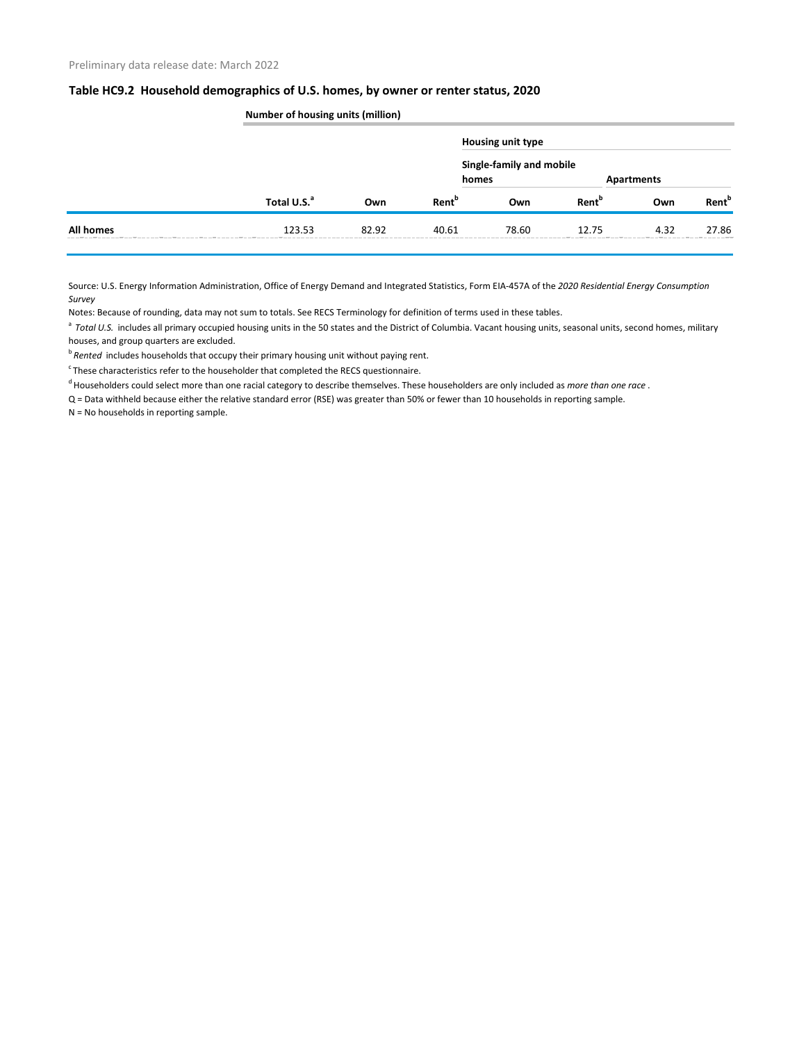#### **Table HC9.2 Household demographics of U.S. homes, by owner or renter status, 2020**

|                  | <b>Number of housing units (million)</b> |       |                          |                                   |                          |      |                          |  |
|------------------|------------------------------------------|-------|--------------------------|-----------------------------------|--------------------------|------|--------------------------|--|
|                  | Total U.S. <sup>a</sup>                  |       |                          | <b>Housing unit type</b>          |                          |      |                          |  |
|                  |                                          |       |                          | Single-family and mobile<br>homes | <b>Apartments</b>        |      |                          |  |
|                  |                                          | Own   | <b>Rent</b> <sup>b</sup> | Own                               | <b>Rent</b> <sup>b</sup> | Own  | <b>Rent</b> <sup>b</sup> |  |
| <b>All homes</b> | 123.53                                   | 82.92 | 40.61                    | 78.60                             | 12.75                    | 4.32 | 27.86                    |  |

Source: U.S. Energy Information Administration, Office of Energy Demand and Integrated Statistics, Form EIA-457A of the *2020 Residential Energy Consumption Survey* 

Notes: Because of rounding, data may not sum to totals. See RECS Terminology for definition of terms used in these tables.

<sup>a</sup> Total U.S. includes all primary occupied housing units in the 50 states and the District of Columbia. Vacant housing units, seasonal units, second homes, military houses, and group quarters are excluded.

*b* Rented includes households that occupy their primary housing unit without paying rent.

 $\textdegree$ These characteristics refer to the householder that completed the RECS questionnaire.

d Householders could select more than one racial category to describe themselves. These householders are only included as *more than one race* .

Q = Data withheld because either the relative standard error (RSE) was greater than 50% or fewer than 10 households in reporting sample.

N = No households in reporting sample.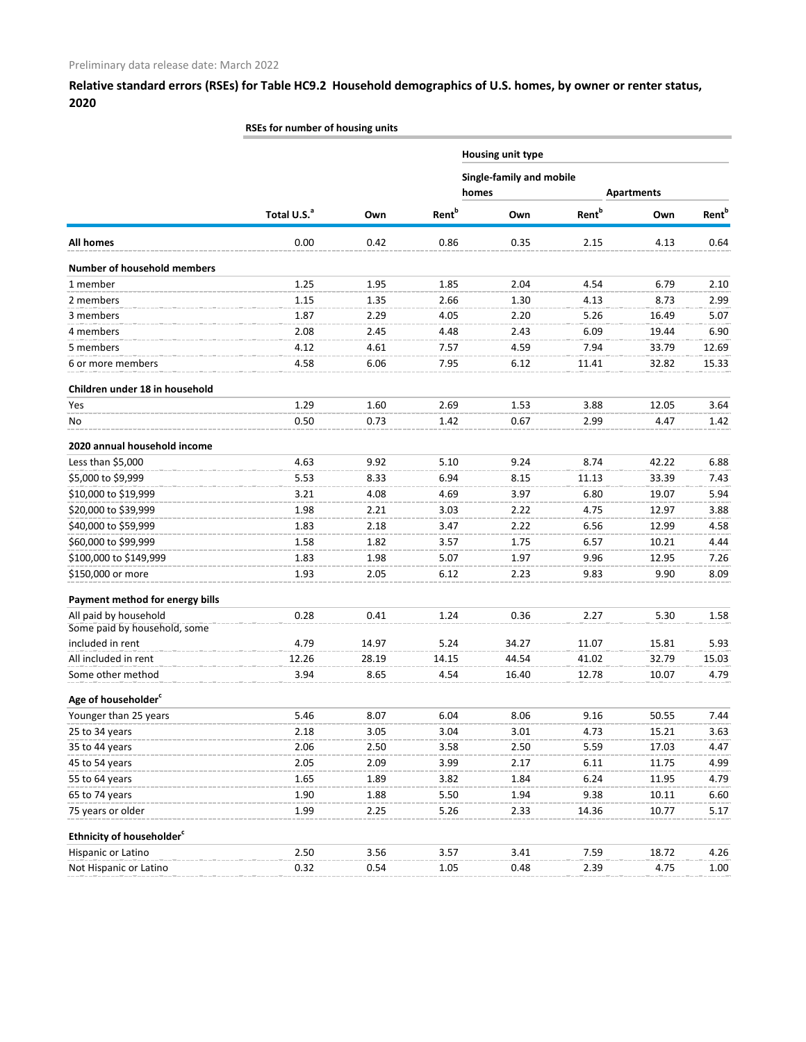**Relative standard errors (RSEs) for Table HC9.2 Household demographics of U.S. homes, by owner or renter status, 2020**

## **RSEs for number of housing units**

|                                       |                         |       |                          | <b>Housing unit type</b> |                                                        |       |                          |  |  |
|---------------------------------------|-------------------------|-------|--------------------------|--------------------------|--------------------------------------------------------|-------|--------------------------|--|--|
|                                       |                         |       |                          |                          | Single-family and mobile<br>homes<br><b>Apartments</b> |       |                          |  |  |
|                                       |                         |       |                          |                          |                                                        |       |                          |  |  |
|                                       | Total U.S. <sup>a</sup> | Own   | <b>Rent</b> <sup>b</sup> | Own                      | <b>Rent</b> <sup>b</sup>                               | Own   | <b>Rent</b> <sup>b</sup> |  |  |
| All homes                             | 0.00                    | 0.42  | 0.86                     | 0.35                     | 2.15                                                   | 4.13  | 0.64                     |  |  |
| <b>Number of household members</b>    |                         |       |                          |                          |                                                        |       |                          |  |  |
| 1 member                              | 1.25                    | 1.95  | 1.85                     | 2.04                     | 4.54                                                   | 6.79  | 2.10                     |  |  |
| 2 members                             | 1.15                    | 1.35  | 2.66                     | 1.30                     | 4.13                                                   | 8.73  | 2.99                     |  |  |
| 3 members                             | 1.87                    | 2.29  | 4.05                     | 2.20                     | 5.26                                                   | 16.49 | 5.07                     |  |  |
| 4 members                             | 2.08                    | 2.45  | 4.48                     | 2.43                     | 6.09                                                   | 19.44 | 6.90                     |  |  |
| 5 members                             | 4.12                    | 4.61  | 7.57                     | 4.59                     | 7.94                                                   | 33.79 | 12.69                    |  |  |
| 6 or more members                     | 4.58                    | 6.06  | 7.95                     | 6.12                     | 11.41                                                  | 32.82 | 15.33                    |  |  |
| Children under 18 in household        |                         |       |                          |                          |                                                        |       |                          |  |  |
| Yes                                   | 1.29                    | 1.60  | 2.69                     | 1.53                     | 3.88                                                   | 12.05 | 3.64                     |  |  |
| No                                    | 0.50                    | 0.73  | 1.42                     | 0.67                     | 2.99                                                   | 4.47  | 1.42                     |  |  |
| 2020 annual household income          |                         |       |                          |                          |                                                        |       |                          |  |  |
| Less than \$5,000                     | 4.63                    | 9.92  | 5.10                     | 9.24                     | 8.74                                                   | 42.22 | 6.88                     |  |  |
| \$5,000 to \$9,999                    | 5.53                    | 8.33  | 6.94                     | 8.15                     | 11.13                                                  | 33.39 | 7.43                     |  |  |
| \$10,000 to \$19,999                  | 3.21                    | 4.08  | 4.69                     | 3.97                     | 6.80                                                   | 19.07 | 5.94                     |  |  |
| \$20,000 to \$39,999                  | 1.98                    | 2.21  | 3.03                     | 2.22                     | 4.75                                                   | 12.97 | 3.88                     |  |  |
| \$40,000 to \$59,999                  | 1.83                    | 2.18  | 3.47                     | 2.22                     | 6.56                                                   | 12.99 | 4.58                     |  |  |
| \$60,000 to \$99,999                  | 1.58                    | 1.82  | 3.57                     | 1.75                     | 6.57                                                   | 10.21 | 4.44                     |  |  |
| \$100,000 to \$149,999                | 1.83                    | 1.98  | 5.07                     | 1.97                     | 9.96                                                   | 12.95 | 7.26                     |  |  |
| \$150,000 or more                     | 1.93                    | 2.05  | 6.12                     | 2.23                     | 9.83                                                   | 9.90  | 8.09                     |  |  |
| Payment method for energy bills       |                         |       |                          |                          |                                                        |       |                          |  |  |
| All paid by household                 | 0.28                    | 0.41  | 1.24                     | 0.36                     | 2.27                                                   | 5.30  | 1.58                     |  |  |
| Some paid by household, some          |                         |       |                          |                          |                                                        |       |                          |  |  |
| included in rent                      | 4.79                    | 14.97 | 5.24                     | 34.27                    | 11.07                                                  | 15.81 | 5.93                     |  |  |
| All included in rent                  | 12.26                   | 28.19 | 14.15                    | 44.54                    | 41.02                                                  | 32.79 | 15.03                    |  |  |
| Some other method                     | 3.94                    | 8.65  | 4.54                     | 16.40                    | 12.78                                                  | 10.07 | 4.79                     |  |  |
| Age of householder <sup>c</sup>       |                         |       |                          |                          |                                                        |       |                          |  |  |
| Younger than 25 years                 | 5.46                    | 8.07  | 6.04                     | 8.06                     | 9.16                                                   | 50.55 | 7.44                     |  |  |
| 25 to 34 years                        | 2.18                    | 3.05  | 3.04                     | 3.01                     | 4.73                                                   | 15.21 | 3.63                     |  |  |
| 35 to 44 years                        | 2.06                    | 2.50  | 3.58                     | 2.50                     | 5.59                                                   | 17.03 | 4.47                     |  |  |
| 45 to 54 years                        | 2.05                    | 2.09  | 3.99                     | 2.17                     | 6.11                                                   | 11.75 | 4.99                     |  |  |
| 55 to 64 years                        | 1.65                    | 1.89  | 3.82                     | 1.84                     | 6.24                                                   | 11.95 | 4.79                     |  |  |
| 65 to 74 years                        | 1.90                    | 1.88  | 5.50                     | 1.94                     | 9.38                                                   | 10.11 | 6.60                     |  |  |
| 75 years or older                     | 1.99                    | 2.25  | 5.26                     | 2.33                     | 14.36                                                  | 10.77 | 5.17                     |  |  |
| Ethnicity of householder <sup>c</sup> |                         |       |                          |                          |                                                        |       |                          |  |  |
| Hispanic or Latino                    | 2.50                    | 3.56  | 3.57                     | 3.41                     | 7.59                                                   | 18.72 | 4.26                     |  |  |
| Not Hispanic or Latino                | 0.32                    | 0.54  | 1.05                     | 0.48                     | 2.39                                                   | 4.75  | 1.00                     |  |  |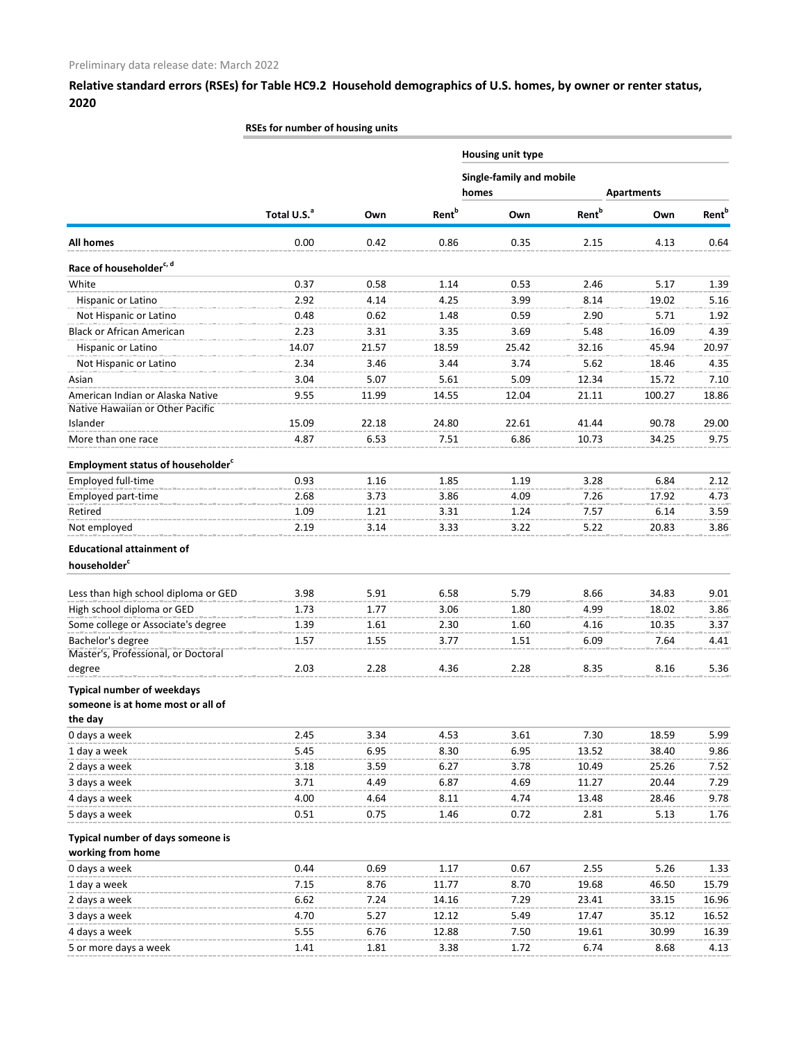**Relative standard errors (RSEs) for Table HC9.2 Household demographics of U.S. homes, by owner or renter status, 2020**

## **RSEs for number of housing units**

|                                                                      |                         |       |                   | <b>Housing unit type</b><br>Single-family and mobile<br>homes<br><b>Apartments</b> |                          |        |                          |  |
|----------------------------------------------------------------------|-------------------------|-------|-------------------|------------------------------------------------------------------------------------|--------------------------|--------|--------------------------|--|
|                                                                      | Total U.S. <sup>a</sup> |       |                   |                                                                                    |                          |        |                          |  |
|                                                                      |                         | Own   | Rent <sup>b</sup> | Own                                                                                | <b>Rent</b> <sup>b</sup> | Own    | <b>Rent</b> <sup>b</sup> |  |
| <b>All homes</b>                                                     | 0.00                    | 0.42  | 0.86              | 0.35                                                                               | 2.15                     | 4.13   | 0.64                     |  |
| Race of householder <sup>c, d</sup>                                  |                         |       |                   |                                                                                    |                          |        |                          |  |
| White                                                                | 0.37                    | 0.58  | 1.14              | 0.53                                                                               | 2.46                     | 5.17   | 1.39                     |  |
| Hispanic or Latino                                                   | 2.92                    | 4.14  | 4.25              | 3.99                                                                               | 8.14                     | 19.02  | 5.16                     |  |
| Not Hispanic or Latino                                               | 0.48                    | 0.62  | 1.48              | 0.59                                                                               | 2.90                     | 5.71   | 1.92                     |  |
| <b>Black or African American</b>                                     | 2.23                    | 3.31  | 3.35              | 3.69                                                                               | 5.48                     | 16.09  | 4.39                     |  |
| Hispanic or Latino                                                   | 14.07                   | 21.57 | 18.59             | 25.42                                                                              | 32.16                    | 45.94  | 20.97                    |  |
| Not Hispanic or Latino                                               | 2.34                    | 3.46  | 3.44              | 3.74                                                                               | 5.62                     | 18.46  | 4.35                     |  |
| Asian                                                                | 3.04                    | 5.07  | 5.61              | 5.09                                                                               | 12.34                    | 15.72  | 7.10                     |  |
| American Indian or Alaska Native<br>Native Hawaiian or Other Pacific | 9.55                    | 11.99 | 14.55             | 12.04                                                                              | 21.11                    | 100.27 | 18.86                    |  |
| Islander                                                             | 15.09                   | 22.18 | 24.80             | 22.61                                                                              | 41.44                    | 90.78  | 29.00                    |  |
| More than one race                                                   | 4.87                    | 6.53  | 7.51              | 6.86                                                                               | 10.73                    | 34.25  | 9.75                     |  |
| Employment status of householder <sup>c</sup>                        |                         |       |                   |                                                                                    |                          |        |                          |  |
| Employed full-time                                                   | 0.93                    | 1.16  | 1.85              | 1.19                                                                               | 3.28                     | 6.84   | 2.12                     |  |
| Employed part-time                                                   | 2.68                    | 3.73  | 3.86              | 4.09                                                                               | 7.26                     | 17.92  | 4.73                     |  |
| Retired                                                              | 1.09                    | 1.21  | 3.31              | 1.24                                                                               | 7.57                     | 6.14   | 3.59                     |  |
| Not employed                                                         | 2.19                    | 3.14  | 3.33              | 3.22                                                                               | 5.22                     | 20.83  | 3.86                     |  |
| <b>Educational attainment of</b>                                     |                         |       |                   |                                                                                    |                          |        |                          |  |
| householder <sup>c</sup>                                             |                         |       |                   |                                                                                    |                          |        |                          |  |
| Less than high school diploma or GED                                 | 3.98                    | 5.91  | 6.58              | 5.79                                                                               | 8.66                     | 34.83  | 9.01                     |  |
| High school diploma or GED                                           | 1.73                    | 1.77  | 3.06              | 1.80                                                                               | 4.99                     | 18.02  | 3.86                     |  |
| Some college or Associate's degree                                   | 1.39                    | 1.61  | 2.30              | 1.60                                                                               | 4.16                     | 10.35  | 3.37                     |  |
| Bachelor's degree                                                    | 1.57                    | 1.55  | 3.77              | 1.51                                                                               | 6.09                     | 7.64   | 4.41                     |  |
| Master's, Professional, or Doctoral                                  |                         |       |                   |                                                                                    |                          |        |                          |  |
| degree                                                               | 2.03                    | 2.28  | 4.36              | 2.28                                                                               | 8.35                     | 8.16   | 5.36                     |  |
| <b>Typical number of weekdays</b>                                    |                         |       |                   |                                                                                    |                          |        |                          |  |
| someone is at home most or all of                                    |                         |       |                   |                                                                                    |                          |        |                          |  |
| the day                                                              |                         |       |                   |                                                                                    |                          |        |                          |  |
| 0 days a week                                                        | 2.45                    | 3.34  | 4.53              | 3.61                                                                               | 7.30                     | 18.59  | 5.99                     |  |
| 1 day a week                                                         | 5.45                    | 6.95  | 8.30              | 6.95                                                                               | 13.52                    | 38.40  | 9.86                     |  |
| 2 days a week                                                        | 3.18                    | 3.59  | 6.27              | 3.78                                                                               | 10.49                    | 25.26  | 7.52                     |  |
| 3 days a week                                                        | 3.71                    | 4.49  | 6.87              | 4.69                                                                               | 11.27                    | 20.44  | 7.29                     |  |
| 4 days a week                                                        | 4.00                    | 4.64  | 8.11              | 4.74                                                                               | 13.48                    | 28.46  | 9.78                     |  |
| 5 days a week                                                        | 0.51                    | 0.75  | 1.46              | 0.72                                                                               | 2.81                     | 5.13   | 1.76                     |  |
| Typical number of days someone is                                    |                         |       |                   |                                                                                    |                          |        |                          |  |
| working from home                                                    |                         |       |                   |                                                                                    |                          |        |                          |  |
| 0 days a week                                                        | 0.44                    | 0.69  | 1.17              | 0.67                                                                               | 2.55                     | 5.26   | 1.33                     |  |
| 1 day a week                                                         | 7.15                    | 8.76  | 11.77             | 8.70                                                                               | 19.68                    | 46.50  | 15.79                    |  |
| 2 days a week                                                        | 6.62                    | 7.24  | 14.16             | 7.29                                                                               | 23.41                    | 33.15  | 16.96                    |  |
| 3 days a week                                                        | 4.70                    | 5.27  | 12.12             | 5.49                                                                               | 17.47                    | 35.12  | 16.52                    |  |
| 4 days a week                                                        | 5.55                    | 6.76  | 12.88             | 7.50                                                                               | 19.61                    | 30.99  | 16.39                    |  |
| 5 or more days a week                                                | 1.41                    | 1.81  | 3.38              | 1.72                                                                               | 6.74                     | 8.68   | 4.13                     |  |
|                                                                      |                         |       |                   |                                                                                    |                          |        |                          |  |